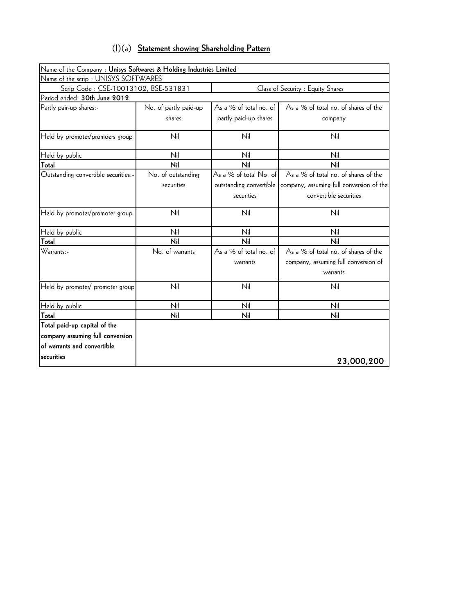| $(1)(a)$ Statement showing Shareholding Pattern |
|-------------------------------------------------|
|-------------------------------------------------|

| Name of the Company: Unisys Softwares & Holding Industries Limited |                       |                         |                                          |
|--------------------------------------------------------------------|-----------------------|-------------------------|------------------------------------------|
| Name of the scrip : UNISYS SOFTWARES                               |                       |                         |                                          |
| Scrip Code : CSE-10013102, BSE-531831                              |                       |                         | Class of Security : Equity Shares        |
| Period ended: 30th June 2012                                       |                       |                         |                                          |
| Partly pair-up shares:-                                            | No. of partly paid-up | As a % of total no. of  | As a % of total no. of shares of the     |
|                                                                    | shares                | partly paid-up shares   | company                                  |
| Held by promoter/promoers group                                    | Nil                   | Nil                     | Nil                                      |
| Held by public                                                     | Nil                   | Nil                     | Nil                                      |
| Total                                                              | Nil                   | Nil                     | Nil                                      |
| Outstanding convertible securities:-                               | No. of outstanding    | As a % of total No. of  | As a % of total no. of shares of the     |
|                                                                    | securities            | outstanding convertible | company, assuming full conversion of the |
|                                                                    |                       | securities              | convertible securities                   |
| Held by promoter/promoter group                                    | Nil                   | Nil                     | Nil                                      |
| Held by public                                                     | Nil                   | Nil                     | Nil                                      |
| Total                                                              | Nil                   | Nil                     | Nil                                      |
| Warrants:-                                                         | No. of warrants       | As a % of total no. of  | As a % of total no. of shares of the     |
|                                                                    |                       | warrants                | company, assuming full conversion of     |
|                                                                    |                       |                         | warrants                                 |
| Held by promoter/ promoter group                                   | Nil                   | Nil                     | Nil                                      |
| Held by public                                                     | Nil                   | Nil                     | Nil                                      |
| Total                                                              | Nil                   | Nil                     | Nil                                      |
| Total paid-up capital of the                                       |                       |                         |                                          |
| company assuming full conversion                                   |                       |                         |                                          |
| of warrants and convertible                                        |                       |                         |                                          |
| securities                                                         |                       |                         | 23,000,200                               |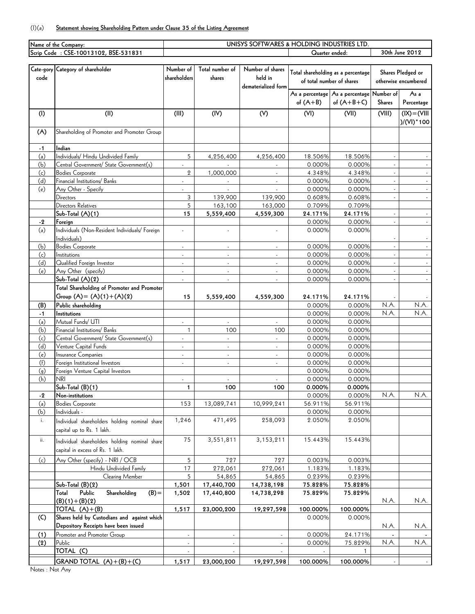## (I)(a) **Statement showing Shareholding Pattern under Clause 35 of the Listing Agreement**

|      | Name of the Company:                           | UNISYS SOFTWARES & HOLDING INDUSTRIES LTD |                 |                          |            |                                    |                   |                      |  |  |  |
|------|------------------------------------------------|-------------------------------------------|-----------------|--------------------------|------------|------------------------------------|-------------------|----------------------|--|--|--|
|      | Scrip Code: CSE-10013102, BSE-531831           |                                           |                 |                          |            | Quarter ended:                     |                   | 30th June 2012       |  |  |  |
|      |                                                |                                           |                 |                          |            |                                    |                   |                      |  |  |  |
|      | Cate-gory Category of shareholder              | Number of                                 | Total number of | Number of shares         |            | Total shareholding as a percentage | Shares Pledged or |                      |  |  |  |
| code |                                                | shareholders                              | shares          | held in                  |            |                                    |                   |                      |  |  |  |
|      |                                                |                                           |                 | dematerialized form      |            | of total number of shares          |                   | otherwise encumbered |  |  |  |
|      |                                                |                                           |                 |                          |            | As a percentage As a percentage    | Number of         | As a                 |  |  |  |
|      |                                                |                                           |                 |                          | of $(A+B)$ | of $(A+B+C)$                       | Shares            | Percentage           |  |  |  |
|      |                                                |                                           |                 |                          |            |                                    |                   |                      |  |  |  |
| (1)  | (II)                                           | (III)                                     | (IV)            | (V)                      | (VI)       | (VII)                              | (VIII)            | $IIV = (XI)$         |  |  |  |
|      |                                                |                                           |                 |                          |            |                                    |                   | $)/(V1)^*100$        |  |  |  |
| (A)  | Shareholding of Promoter and Promoter Group    |                                           |                 |                          |            |                                    |                   |                      |  |  |  |
|      |                                                |                                           |                 |                          |            |                                    |                   |                      |  |  |  |
| $-1$ | Indian                                         |                                           |                 |                          |            |                                    |                   |                      |  |  |  |
| (a)  | Individuals/ Hindu Undivided Family            | 5                                         | 4,256,400       | 4,256,400                | 18.506%    | 18.506%                            |                   |                      |  |  |  |
| (b)  | Central Government/ State Government(s)        | $\overline{\phantom{a}}$                  |                 |                          | 0.000%     | 0.000%                             |                   |                      |  |  |  |
| (c)  | <b>Bodies Corporate</b>                        | $\overline{2}$                            | 1,000,000       | $\sim$                   | 4.348%     | 4.348%                             |                   |                      |  |  |  |
| (d)  | Financial Institutions/ Banks                  | ÷.                                        |                 | $\mathcal{L}$            | 0.000%     | 0.000%                             |                   | $\omega$             |  |  |  |
| (e)  | Any Other - Specify                            | ä,                                        | $\blacksquare$  | $\overline{\phantom{a}}$ | 0.000%     | 0.000%                             |                   | $\sim$               |  |  |  |
|      | <b>Directors</b>                               | 3                                         | 139,900         | 139,900                  | 0.608%     | 0.608%                             |                   | $\omega$             |  |  |  |
|      | Directors Relatives                            | 5                                         | 163,100         | 163,000                  | 0.709%     | 0.709%                             |                   |                      |  |  |  |
|      | Sub-Total (A)(1)                               | 15                                        | 5,559,400       | 4,559,300                | 24.171%    | 24.171%                            |                   | $\sim$               |  |  |  |
| -2   | Foreign                                        |                                           |                 |                          | 0.000%     | 0.000%                             |                   | $\sim$               |  |  |  |
| (a)  | Individuals (Non-Resident Individuals/ Foreign | $\overline{\phantom{a}}$                  |                 |                          | 0.000%     | 0.000%                             |                   |                      |  |  |  |
|      | Individuals)                                   |                                           |                 |                          |            |                                    |                   |                      |  |  |  |
| (b)  | <b>Bodies Corporate</b>                        | ÷,                                        |                 | ÷,                       | 0.000%     | 0.000%                             |                   | $\omega$             |  |  |  |
| (c)  | Institutions                                   | $\blacksquare$                            | $\blacksquare$  | $\blacksquare$           | 0.000%     | 0.000%                             | $\omega$          | $\sim$               |  |  |  |
| (d)  | Qualified Foreign Investor                     | ÷,                                        |                 | $\blacksquare$           | 0.000%     | 0.000%                             |                   |                      |  |  |  |
| (e)  | Any Other (specify)                            | ÷,                                        |                 | $\sim$                   | 0.000%     | 0.000%                             |                   | $\omega$             |  |  |  |
|      | $Sub-Total (A)(2)$                             | ÷,                                        |                 |                          | 0.000%     | 0.000%                             |                   | $\omega_{\rm c}$     |  |  |  |
|      | Total Shareholding of Promoter and Promoter    |                                           |                 |                          |            |                                    |                   |                      |  |  |  |
|      | Group $(A) = (A)(1) + (A)(2)$                  | 15                                        | 5,559,400       | 4,559,300                | 24.171%    | 24.171%                            |                   |                      |  |  |  |
| (B)  | Public shareholding                            |                                           |                 |                          | 0.000%     | 0.000%                             | N.A.              | N.A.                 |  |  |  |
| -1   | Institutions                                   |                                           |                 |                          | 0.000%     | 0.000%                             | N.A.              | N.A.                 |  |  |  |
| (a)  | Mutual Funds/ UTI                              | ÷.                                        |                 |                          | 0.000%     | 0.000%                             |                   |                      |  |  |  |
| (b)  | Financial Institutions/ Banks                  | $\mathbf{1}$                              | 100             | 100                      | 0.000%     | 0.000%                             |                   |                      |  |  |  |
| (c)  | Central Government/ State Government(s)        | $\overline{\phantom{a}}$                  | $\omega$        | $\omega$                 | 0.000%     | 0.000%                             |                   |                      |  |  |  |
| (d)  | Venture Capital Funds                          | ÷,                                        |                 | $\overline{\phantom{a}}$ | 0.000%     | 0.000%                             |                   |                      |  |  |  |
| (e)  | Insurance Companies                            | ä,                                        | $\omega$        | $\sim$                   | 0.000%     | 0.000%                             |                   |                      |  |  |  |
| (f)  | Foreign Institutional Investors                |                                           |                 |                          | 0.000%     | 0.000%                             |                   |                      |  |  |  |
| (g)  | Foreign Venture Capital Investors              |                                           |                 |                          | 0.000%     | 0.000%                             |                   |                      |  |  |  |
| (h)  | NRI                                            | $\overline{\phantom{a}}$                  |                 |                          | 0.000%     | 0.000%                             |                   |                      |  |  |  |
|      | $Sub-Total (B)(1)$                             | 1                                         | 100             | 100                      | 0.000%     | 0.000%                             |                   |                      |  |  |  |
| $-2$ | Non-institutions                               |                                           |                 |                          | 0.000%     | 0.000%                             | N.A.              | N.A.                 |  |  |  |
| (a)  | <b>Bodies Corporate</b>                        | 153                                       | 13,089,741      | 10,999,241               | 56.911%    | 56.911%                            |                   |                      |  |  |  |
| (b)  | Individuals -                                  |                                           |                 |                          | 0.000%     | 0.000%                             |                   |                      |  |  |  |
| i.   | Individual shareholders holding nominal share  | 1,246                                     | 471,495         | 258,093                  | 2.050%     | 2.050%                             |                   |                      |  |  |  |
|      | capital up to Rs. 1 lakh.                      |                                           |                 |                          |            |                                    |                   |                      |  |  |  |
|      |                                                |                                           |                 |                          |            |                                    |                   |                      |  |  |  |
| ii.  | Individual shareholders holding nominal share  | 75                                        | 3,551,811       | 3,153,211                | 15.443%    | 15.443%                            |                   |                      |  |  |  |
|      | capital in excess of Rs. 1 lakh.               |                                           |                 |                          |            |                                    |                   |                      |  |  |  |
| (c)  | Any Other (specify) - NRI / OCB                | 5                                         | 727             | 727                      | 0.003%     | 0.003%                             |                   |                      |  |  |  |
|      | Hindu Undivided Family                         | 17                                        | 272,061         | 272,061                  | 1.183%     | 1.183%                             |                   |                      |  |  |  |
|      | Clearing Member                                | 5                                         | 54,865          | 54,865                   | 0.239%     | 0.239%                             |                   |                      |  |  |  |
|      | Sub-Total (B)(2)                               | 1,501                                     | 17,440,700      | 14,738,198               | 75.828%    | 75.828%                            |                   |                      |  |  |  |
|      | $(B) =$<br>Public<br>Shareholding<br>Total     | 1,502                                     | 17,440,800      | 14,738,298               | 75.829%    | 75.829%                            |                   |                      |  |  |  |
|      | $(B)(1)+(B)(2)$                                |                                           |                 |                          |            |                                    | N.A.              | N.A.                 |  |  |  |
|      | TOTAL $(A)+(B)$                                | 1,517                                     | 23,000,200      | 19,297,598               | 100.000%   | 100.000%                           |                   |                      |  |  |  |
| (C)  | Shares held by Custodians and against which    |                                           |                 |                          | 0.000%     | 0.000%                             |                   |                      |  |  |  |
|      | Depository Receipts have been issued           |                                           |                 |                          |            |                                    | N.A.              | N.A.                 |  |  |  |
| (1)  | Promoter and Promoter Group                    | $\sim$                                    | $\sim$          |                          | 0.000%     | 24.171%                            |                   |                      |  |  |  |
| (2)  | Public                                         | ä,                                        | $\blacksquare$  | ä,                       | 0.000%     | 75.829%                            | N.A.              | N.A.                 |  |  |  |
|      | TOTAL (C)                                      |                                           |                 |                          |            | 1                                  |                   |                      |  |  |  |
|      | GRAND TOTAL $(A)+(B)+(C)$                      | 1,517                                     | 23,000,200      | 19,297,598               | 100.000%   | 100.000%                           | $\sim$            |                      |  |  |  |
|      |                                                |                                           |                 |                          |            |                                    |                   |                      |  |  |  |

Notes : Not Any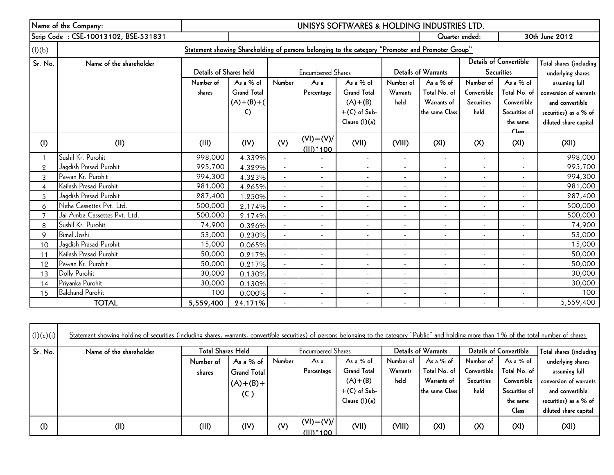|                | Name of the Company:                                                                              | UNISYS SOFTWARES & HOLDING INDUSTRIES LTD. |                    |                          |                              |                          |                          |                          |                          |                               |                         |
|----------------|---------------------------------------------------------------------------------------------------|--------------------------------------------|--------------------|--------------------------|------------------------------|--------------------------|--------------------------|--------------------------|--------------------------|-------------------------------|-------------------------|
|                | Scrip Code: CSE-10013102, BSE-531831                                                              |                                            | Quarter ended:     |                          |                              |                          |                          |                          | 30th June 2012           |                               |                         |
| (l)(b)         | Statement showing Shareholding of persons belonging to the category "Promoter and Promoter Group" |                                            |                    |                          |                              |                          |                          |                          |                          |                               |                         |
| Sr. No.        | Name of the shareholder                                                                           |                                            |                    |                          |                              |                          |                          |                          |                          | <b>Details of Convertible</b> | Total shares (including |
|                |                                                                                                   | Details of Shares held                     |                    |                          | <b>Encumbered Shares</b>     |                          |                          | Details of Warrants      |                          | <b>Securities</b>             | underlying shares       |
|                |                                                                                                   | Number of                                  | As a % of          | Number                   | As <sub>a</sub>              | As a % of                | Number of                | As a % of                | Number of                | As a % of                     | assuming full           |
|                |                                                                                                   | shares                                     | <b>Grand Total</b> |                          | Percentage                   | <b>Grand Total</b>       | <b>Warrants</b>          | Total No. of             | Convertible              | Total No. of                  | conversion of warrants  |
|                |                                                                                                   |                                            | $(A)+(B)+(A)$      |                          |                              | $(A)+(B)$                | held                     | Warrants of              | <b>Securities</b>        | Convertible                   | and convertible         |
|                |                                                                                                   |                                            | C)                 |                          |                              | $+(C)$ of Sub-           |                          | the same Class           | held                     | Securities of                 | securities) as a % of   |
|                |                                                                                                   |                                            |                    |                          |                              | Clause (I)(a)            |                          |                          |                          | the same                      | diluted share capital   |
| (1)            | (II)                                                                                              | (III)                                      | (IV)               | (V)                      | $(VI) = (V)/$<br>$(III)*100$ | (VII)                    | (VIII)                   | (XI)                     | (X)                      | C <sub>loc</sub><br>(XI)      | (XII)                   |
|                | Sushil Kr. Purohit                                                                                | 998,000                                    | 4.339%             | $\overline{\phantom{a}}$ |                              | $\sim$                   | $\sim$                   | $\overline{\phantom{a}}$ | $\sim$                   |                               | 998,000                 |
| $\overline{2}$ | Jagdish Prasad Purohit                                                                            | 995,700                                    | 4.329%             |                          | $\sim$                       | $\sim$                   |                          |                          |                          |                               | 995,700                 |
| 3              | Pawan Kr. Purohit                                                                                 | 994,300                                    | 4.323%             | $\blacksquare$           | $\blacksquare$               | $\sim$                   | $\blacksquare$           | $\blacksquare$           | ٠                        |                               | 994,300                 |
| $\overline{4}$ | Kailash Prasad Purohit                                                                            | 981,000                                    | 4.265%             |                          | $\mathbf{r}$                 | $\sim$                   |                          | $\mathbf{r}$             | ÷                        |                               | 981,000                 |
| 5              | Jagdish Prasad Purohit                                                                            | 287,400                                    | 1.250%             | $\overline{\phantom{a}}$ | $\blacksquare$               | $\sim$                   | $\blacksquare$           | $\overline{\phantom{a}}$ | $\blacksquare$           |                               | 287,400                 |
| 6              | Neha Cassettes Pvt. Ltd.                                                                          | 500,000                                    | 2.174%             |                          | $\blacksquare$               | $\sim$                   | ÷.                       | $\sim$                   | $\overline{\phantom{a}}$ |                               | 500,000                 |
| $\overline{7}$ | Jai Ambe Cassettes Pvt. Ltd.                                                                      | 500,000                                    | 2.174%             | $\overline{\phantom{a}}$ | $\overline{\phantom{a}}$     | $\overline{\phantom{a}}$ | $\blacksquare$           | $\overline{\phantom{a}}$ | $\sim$                   | $\overline{\phantom{a}}$      | 500,000                 |
| 8              | Sushil Kr. Purohit                                                                                | 74,900                                     | 0.326%             | $\overline{\phantom{a}}$ | $\blacksquare$               | $\sim$                   | $\blacksquare$           | $\blacksquare$           | $\blacksquare$           |                               | 74,900                  |
| 9              | <b>Bimal Joshi</b>                                                                                | 53,000                                     | 0.230%             |                          | $\overline{\phantom{a}}$     | $\blacksquare$           |                          | $\overline{\phantom{a}}$ | $\overline{\phantom{a}}$ |                               | 53,000                  |
| 10             | Jagdish Prasad Purohit                                                                            | 15,000                                     | 0.065%             |                          | $\blacksquare$               | $\sim$                   | $\overline{\phantom{a}}$ | $\blacksquare$           | $\blacksquare$           |                               | 15,000                  |
| 11             | Kailash Prasad Purohit                                                                            | 50,000                                     | 0.217%             |                          | $\blacksquare$               | $\sim$                   |                          | $\overline{\phantom{a}}$ | $\overline{\phantom{a}}$ |                               | 50,000                  |
| 12             | Pawan Kr. Purohit                                                                                 | 50,000                                     | 0.217%             | $\mathbf{r}$             | $\overline{\phantom{a}}$     | $\sim$                   |                          | $\overline{\phantom{a}}$ | $\blacksquare$           |                               | 50,000                  |
| 13             | Dolly Purohit                                                                                     | 30,000                                     | 0.130%             |                          | ٠                            | ÷                        |                          | $\blacksquare$           |                          |                               | 30,000                  |
| 14             | Priyanka Purohit                                                                                  | 30,000                                     | 0.130%             | $\blacksquare$           | $\blacksquare$               | $\sim$                   | $\blacksquare$           | $\blacksquare$           | $\overline{\phantom{a}}$ |                               | 30,000                  |
| 15             | <b>Balchand Purohit</b>                                                                           | 100                                        | 0.000%             |                          | ÷,                           | $\overline{\phantom{a}}$ |                          | $\overline{\phantom{a}}$ |                          |                               | 100                     |
|                | <b>TOTAL</b>                                                                                      | 5,559,400                                  | 24.171%            |                          | $\sim$                       | $\sim$                   | $\sim$                   | $\sim$                   | ÷.                       |                               | 5,559,400               |

| (l)(c)(i) | Statement showing holding of securities (including shares, warrants, convertible securities) of persons belonging to the category "Public" and holding more than 1% of the total number of shares |                          |                    |        |                            |                    |                 |                     |             |                        |                         |
|-----------|---------------------------------------------------------------------------------------------------------------------------------------------------------------------------------------------------|--------------------------|--------------------|--------|----------------------------|--------------------|-----------------|---------------------|-------------|------------------------|-------------------------|
| Sr. No.   | Name of the shareholder                                                                                                                                                                           | <b>Total Shares Held</b> |                    |        | <b>Encumbered Shares</b>   |                    |                 | Details of Warrants |             | Details of Convertible | Total shares (including |
|           |                                                                                                                                                                                                   | Number of                | As a $%$ of        | Number | As a                       | As a $%$ of        | Number of       | As a $%$ of         | Number of   | As a % of              | underlying shares       |
|           |                                                                                                                                                                                                   | shares                   | <b>Grand Total</b> |        | Percentage                 | <b>Grand Total</b> | <b>Warrants</b> | Total No. of        | Convertible | Total No. of           | assuming full           |
|           |                                                                                                                                                                                                   |                          | $(A)+(B)+$         |        |                            | $(A)+(B)$          | held            | Warrants of         | Securities  | Convertible            | conversion of warrants  |
|           |                                                                                                                                                                                                   |                          | (C)                |        |                            | $+(C)$ of Sub-     |                 | the same Class      | held        | Securities of          | and convertible         |
|           |                                                                                                                                                                                                   |                          |                    |        |                            | Clause (1)(a)      |                 |                     |             | the same               | securities) as a % of   |
|           |                                                                                                                                                                                                   |                          |                    |        |                            |                    |                 |                     |             | Class                  | diluted share capital   |
| (1)       | (II)                                                                                                                                                                                              | (III)                    | (IV)               | (V)    | $(VI) = (V)/$<br>(III)*100 | (VII)              | (VIII)          | (XI)                | (X)         | (XI)                   | (XII)                   |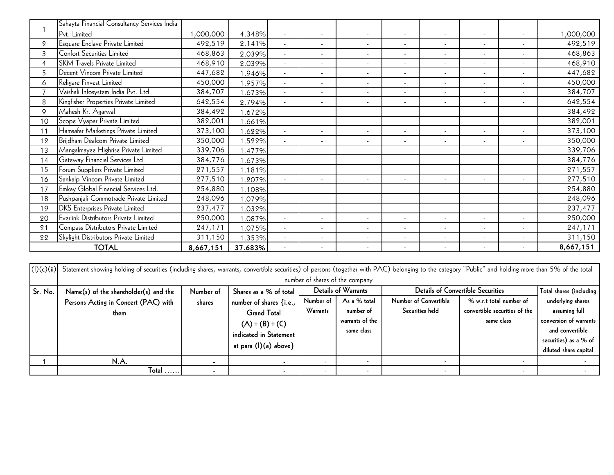|                | Sahayta Financial Consultancy Services India |           |         |                          |                          |                          |                          |                          |        |                          |           |
|----------------|----------------------------------------------|-----------|---------|--------------------------|--------------------------|--------------------------|--------------------------|--------------------------|--------|--------------------------|-----------|
|                | Pvt. Limited                                 | 1,000,000 | 4.348%  |                          |                          |                          |                          |                          |        |                          | 1,000,000 |
| $\overline{2}$ | Esquare Enclave Private Limited              | 492,519   | 2.141%  |                          | $\blacksquare$           | $\blacksquare$           | $\sim$                   | ٠                        | $\sim$ | ٠                        | 492,519   |
| 3              | Confort Securities Limited                   | 468,863   | 2.039%  |                          | $\blacksquare$           | $\blacksquare$           |                          |                          | $\sim$ |                          | 468,863   |
|                | <b>SKM Travels Private Limited</b>           | 468,910   | 2.039%  |                          | ٠                        | $\sim$                   | $\overline{\phantom{a}}$ |                          | $\sim$ | $\overline{\phantom{a}}$ | 468,910   |
| 5              | Decent Vincom Private Limited                | 447,682   | .946%   | $\overline{\phantom{a}}$ | $\blacksquare$           | $\sim$                   | ٠                        | ٠                        | $\sim$ | $\overline{\phantom{a}}$ | 447,682   |
| 6              | Religare Finvest Limited                     | 450,000   | .957%   | $\sim$                   | ٠                        | $\blacksquare$           | $\overline{\phantom{a}}$ | $\overline{\phantom{a}}$ | $\sim$ | $\overline{\phantom{a}}$ | 450,000   |
|                | Vaishali Infosystem India Pvt. Ltd.          | 384,707   | .673%   | $\overline{\phantom{a}}$ | $\overline{\phantom{a}}$ | $\sim$                   | $\overline{\phantom{a}}$ | $\overline{\phantom{a}}$ | $\sim$ | $\overline{\phantom{a}}$ | 384,707   |
| 8              | Kingfisher Properties Private Limited        | 642,554   | 2.794%  | $\overline{\phantom{a}}$ | $\blacksquare$           | $\overline{\phantom{a}}$ | $\overline{\phantom{a}}$ | $\overline{\phantom{a}}$ | $\sim$ | $\overline{\phantom{a}}$ | 642,554   |
| 9              | Mahesh Kr. Agarwal                           | 384,492   | .672%   |                          |                          |                          |                          |                          |        |                          | 384,492   |
| 10             | Scope Vyapar Private Limited                 | 382,001   | .661%   |                          |                          |                          |                          |                          |        |                          | 382,001   |
| 11             | Hamsafar Marketings Private Limited          | 373,100   | .622%   | $\sim$                   | $\blacksquare$           | $\blacksquare$           | $\overline{\phantom{a}}$ | $\overline{\phantom{a}}$ | $\sim$ | $\overline{\phantom{a}}$ | 373,100   |
| 12             | Brijdham Dealcom Private Limited             | 350,000   | 522%    | $\sim$                   | $\overline{\phantom{a}}$ | $\sim$                   | $\overline{\phantom{a}}$ | $\overline{\phantom{a}}$ | $\sim$ | $\overline{\phantom{a}}$ | 350,000   |
| 13             | Mangalmayee Highrise Private Limited         | 339,706   | .477%   |                          |                          |                          |                          |                          |        |                          | 339,706   |
| 14             | Gateway Financial Services Ltd.              | 384,776   | .673%   |                          |                          |                          |                          |                          |        |                          | 384,776   |
| 15             | Forum Suppliers Private Limited              | 271,557   | .181%   |                          |                          |                          |                          |                          |        |                          | 271,557   |
| 16             | Sankalp Vincom Private Limited               | 277,510   | .207%   |                          | ÷.                       | $\sim$                   | $\sim$                   | $\sim$                   | $\sim$ | $\sim$                   | 277,510   |
| 17             | Emkay Global Financial Services Ltd.         | 254,880   | .108%   |                          |                          |                          |                          |                          |        |                          | 254,880   |
| 18             | Pushpanjali Commotrade Private Limited       | 248,096   | .079%   |                          |                          |                          |                          |                          |        |                          | 248,096   |
| 19             | <b>DKS</b> Enterprises Private Limited       | 237,477   | .032%   |                          |                          |                          |                          |                          |        |                          | 237,477   |
| 20             | Everlink Distributors Private Limited        | 250,000   | .087%   | $\sim$                   | $\blacksquare$           | $\sim$                   | $\sim$                   | $\blacksquare$           | $\sim$ |                          | 250,000   |
| 21             | Compass Distributors Private Limited         | 247,171   | .075%   | $\sim$                   | ٠                        | $\overline{\phantom{a}}$ | $\overline{\phantom{a}}$ | ٠                        | $\sim$ |                          | 247,171   |
| 22             | Skylight Distributors Private Limited        | 311,150   | .353%   |                          | ÷                        | $\overline{\phantom{a}}$ | $\blacksquare$           | $\overline{\phantom{a}}$ | $\sim$ | $\overline{\phantom{a}}$ | 311,150   |
|                | <b>TOTAL</b>                                 | 8,667,151 | 37.683% |                          |                          |                          |                          |                          |        |                          | 8,667,151 |

|            | <b>TOTAL</b>                                                                                                                                                                                         | 8,667,151 | 37.683%                                                                                                             |                       |                                                            |                                          |                                             |                         | 8,667,151                                                                                                                         |
|------------|------------------------------------------------------------------------------------------------------------------------------------------------------------------------------------------------------|-----------|---------------------------------------------------------------------------------------------------------------------|-----------------------|------------------------------------------------------------|------------------------------------------|---------------------------------------------|-------------------------|-----------------------------------------------------------------------------------------------------------------------------------|
| (I)(c)(ii) | Statement showing holding of securities (including shares, warrants, convertible securities) of persons (together with PAC) belonging to the category "Public" and holding more than 5% of the total |           |                                                                                                                     |                       | number of shares of the company                            |                                          |                                             |                         |                                                                                                                                   |
| Sr. No.    | Name(s) of the shareholder(s) and the                                                                                                                                                                | Number of | Shares as a % of total                                                                                              |                       | Details of Warrants                                        | <b>Details of Convertible Securities</b> |                                             |                         | Total shares (including                                                                                                           |
|            | Persons Acting in Concert (PAC) with<br>them                                                                                                                                                         | shares    | number of shares {i.e.,<br><b>Grand Total</b><br>$(A)+(B)+(C)$<br>indicated in Statement<br>at para $(l)(a)$ above} | Number of<br>Warrants | As a % total<br>number of<br>warrants of the<br>same class | Number of Convertible<br>Securities held | convertible securities of the<br>same class | % w.r.t total number of | underlying shares<br>assuming full<br>conversion of warrants<br>and convertible<br>securities) as a % of<br>diluted share capital |
|            | N.A.                                                                                                                                                                                                 |           |                                                                                                                     |                       | -                                                          |                                          |                                             |                         |                                                                                                                                   |
|            | Total $\ldots$ .                                                                                                                                                                                     |           |                                                                                                                     |                       | -                                                          |                                          |                                             |                         |                                                                                                                                   |